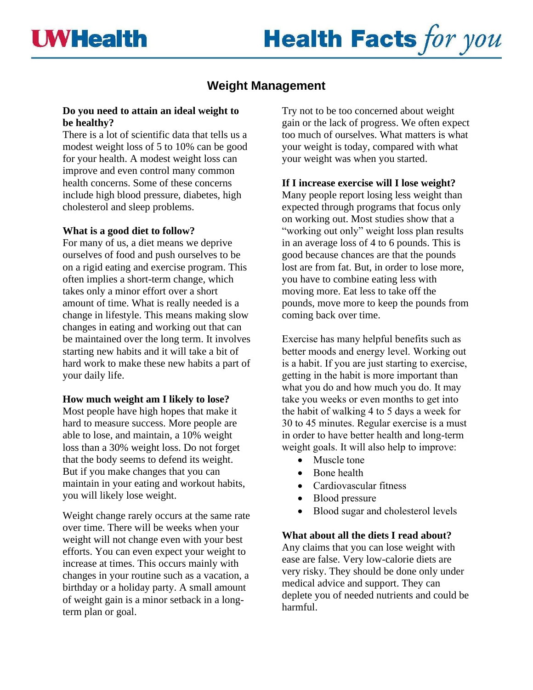# **Health Facts for you**

# **Weight Management**

# **Do you need to attain an ideal weight to be healthy?**

There is a lot of scientific data that tells us a modest weight loss of 5 to 10% can be good for your health. A modest weight loss can improve and even control many common health concerns. Some of these concerns include high blood pressure, diabetes, high cholesterol and sleep problems.

# **What is a good diet to follow?**

For many of us, a diet means we deprive ourselves of food and push ourselves to be on a rigid eating and exercise program. This often implies a short-term change, which takes only a minor effort over a short amount of time. What is really needed is a change in lifestyle. This means making slow changes in eating and working out that can be maintained over the long term. It involves starting new habits and it will take a bit of hard work to make these new habits a part of your daily life.

# **How much weight am I likely to lose?**

Most people have high hopes that make it hard to measure success. More people are able to lose, and maintain, a 10% weight loss than a 30% weight loss. Do not forget that the body seems to defend its weight. But if you make changes that you can maintain in your eating and workout habits, you will likely lose weight.

Weight change rarely occurs at the same rate over time. There will be weeks when your weight will not change even with your best efforts. You can even expect your weight to increase at times. This occurs mainly with changes in your routine such as a vacation, a birthday or a holiday party. A small amount of weight gain is a minor setback in a longterm plan or goal.

Try not to be too concerned about weight gain or the lack of progress. We often expect too much of ourselves. What matters is what your weight is today, compared with what your weight was when you started.

# **If I increase exercise will I lose weight?**

Many people report losing less weight than expected through programs that focus only on working out. Most studies show that a "working out only" weight loss plan results in an average loss of 4 to 6 pounds. This is good because chances are that the pounds lost are from fat. But, in order to lose more, you have to combine eating less with moving more. Eat less to take off the pounds, move more to keep the pounds from coming back over time.

Exercise has many helpful benefits such as better moods and energy level. Working out is a habit. If you are just starting to exercise, getting in the habit is more important than what you do and how much you do. It may take you weeks or even months to get into the habit of walking 4 to 5 days a week for 30 to 45 minutes. Regular exercise is a must in order to have better health and long-term weight goals. It will also help to improve:

- Muscle tone
- Bone health
- Cardiovascular fitness
- Blood pressure
- Blood sugar and cholesterol levels

# **What about all the diets I read about?**

Any claims that you can lose weight with ease are false. Very low-calorie diets are very risky. They should be done only under medical advice and support. They can deplete you of needed nutrients and could be harmful.